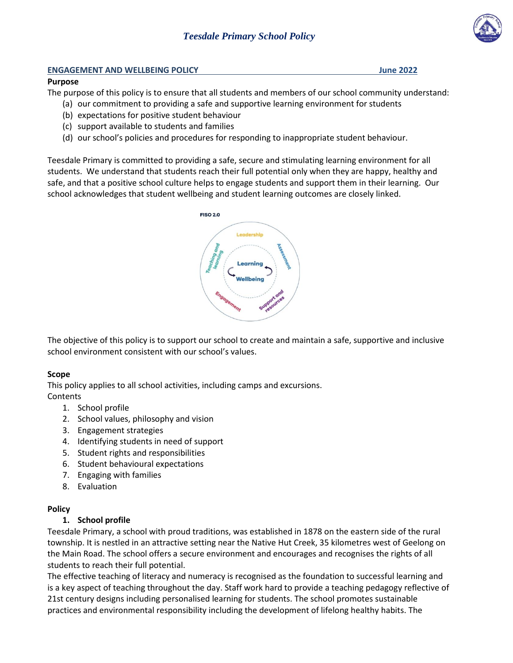

#### **ENGAGEMENT AND WELLBEING POLICY June 2022**

#### **Purpose**

The purpose of this policy is to ensure that all students and members of our school community understand:

- (a) our commitment to providing a safe and supportive learning environment for students
- (b) expectations for positive student behaviour
- (c) support available to students and families
- (d) our school's policies and procedures for responding to inappropriate student behaviour.

Teesdale Primary is committed to providing a safe, secure and stimulating learning environment for all students. We understand that students reach their full potential only when they are happy, healthy and safe, and that a positive school culture helps to engage students and support them in their learning. Our school acknowledges that student wellbeing and student learning outcomes are closely linked.



The objective of this policy is to support our school to create and maintain a safe, supportive and inclusive school environment consistent with our school's values.

#### **Scope**

This policy applies to all school activities, including camps and excursions. **Contents** 

- 1. School profile
- 2. School values, philosophy and vision
- 3. Engagement strategies
- 4. Identifying students in need of support
- 5. Student rights and responsibilities
- 6. Student behavioural expectations
- 7. Engaging with families
- 8. Evaluation

#### **Policy**

#### **1. School profile**

Teesdale Primary, a school with proud traditions, was established in 1878 on the eastern side of the rural township. It is nestled in an attractive setting near the Native Hut Creek, 35 kilometres west of Geelong on the Main Road. The school offers a secure environment and encourages and recognises the rights of all students to reach their full potential.

The effective teaching of literacy and numeracy is recognised as the foundation to successful learning and is a key aspect of teaching throughout the day. Staff work hard to provide a teaching pedagogy reflective of 21st century designs including personalised learning for students. The school promotes sustainable practices and environmental responsibility including the development of lifelong healthy habits. The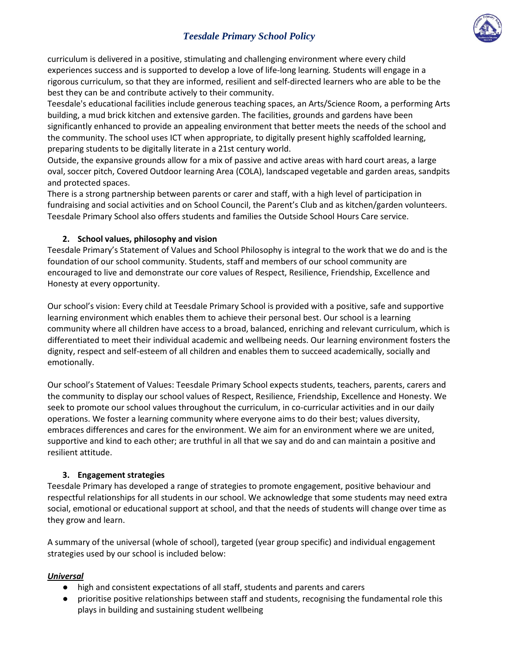

curriculum is delivered in a positive, stimulating and challenging environment where every child experiences success and is supported to develop a love of life-long learning*.* Students will engage in a rigorous curriculum, so that they are informed, resilient and self-directed learners who are able to be the best they can be and contribute actively to their community.

Teesdale's educational facilities include generous teaching spaces, an Arts/Science Room, a performing Arts building, a mud brick kitchen and extensive garden. The facilities, grounds and gardens have been significantly enhanced to provide an appealing environment that better meets the needs of the school and the community. The school uses ICT when appropriate, to digitally present highly scaffolded learning, preparing students to be digitally literate in a 21st century world.

Outside, the expansive grounds allow for a mix of passive and active areas with hard court areas, a large oval, soccer pitch, Covered Outdoor learning Area (COLA), landscaped vegetable and garden areas, sandpits and protected spaces.

There is a strong partnership between parents or carer and staff, with a high level of participation in fundraising and social activities and on School Council, the Parent's Club and as kitchen/garden volunteers. Teesdale Primary School also offers students and families the Outside School Hours Care service.

#### **2. School values, philosophy and vision**

Teesdale Primary's Statement of Values and School Philosophy is integral to the work that we do and is the foundation of our school community. Students, staff and members of our school community are encouraged to live and demonstrate our core values of Respect, Resilience, Friendship, Excellence and Honesty at every opportunity.

Our school's vision: Every child at Teesdale Primary School is provided with a positive, safe and supportive learning environment which enables them to achieve their personal best. Our school is a learning community where all children have access to a broad, balanced, enriching and relevant curriculum, which is differentiated to meet their individual academic and wellbeing needs. Our learning environment fosters the dignity, respect and self-esteem of all children and enables them to succeed academically, socially and emotionally.

Our school's Statement of Values: Teesdale Primary School expects students, teachers, parents, carers and the community to display our school values of Respect, Resilience, Friendship, Excellence and Honesty. We seek to promote our school values throughout the curriculum, in co-curricular activities and in our daily operations. We foster a learning community where everyone aims to do their best; values diversity, embraces differences and cares for the environment. We aim for an environment where we are united, supportive and kind to each other; are truthful in all that we say and do and can maintain a positive and resilient attitude.

#### **3. Engagement strategies**

Teesdale Primary has developed a range of strategies to promote engagement, positive behaviour and respectful relationships for all students in our school. We acknowledge that some students may need extra social, emotional or educational support at school, and that the needs of students will change over time as they grow and learn.

A summary of the universal (whole of school), targeted (year group specific) and individual engagement strategies used by our school is included below:

#### *Universal*

- high and consistent expectations of all staff, students and parents and carers
- prioritise positive relationships between staff and students, recognising the fundamental role this plays in building and sustaining student wellbeing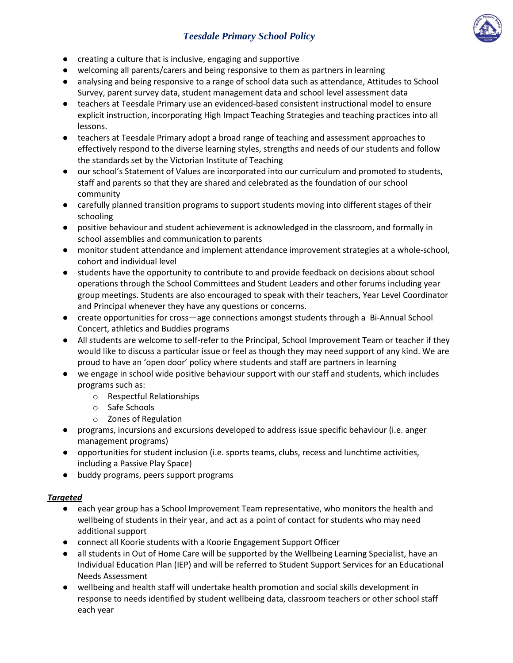

- creating a culture that is inclusive, engaging and supportive
- welcoming all parents/carers and being responsive to them as partners in learning
- analysing and being responsive to a range of school data such as attendance, Attitudes to School Survey, parent survey data, student management data and school level assessment data
- teachers at Teesdale Primary use an evidenced-based consistent instructional model to ensure explicit instruction, incorporating High Impact Teaching Strategies and teaching practices into all lessons.
- teachers at Teesdale Primary adopt a broad range of teaching and assessment approaches to effectively respond to the diverse learning styles, strengths and needs of our students and follow the standards set by the Victorian Institute of Teaching
- our school's Statement of Values are incorporated into our curriculum and promoted to students, staff and parents so that they are shared and celebrated as the foundation of our school community
- carefully planned transition programs to support students moving into different stages of their schooling
- positive behaviour and student achievement is acknowledged in the classroom, and formally in school assemblies and communication to parents
- monitor student attendance and implement attendance improvement strategies at a whole-school, cohort and individual level
- students have the opportunity to contribute to and provide feedback on decisions about school operations through the School Committees and Student Leaders and other forums including year group meetings. Students are also encouraged to speak with their teachers, Year Level Coordinator and Principal whenever they have any questions or concerns.
- create opportunities for cross—age connections amongst students through a Bi-Annual School Concert, athletics and Buddies programs
- All students are welcome to self-refer to the Principal, School Improvement Team or teacher if they would like to discuss a particular issue or feel as though they may need support of any kind. We are proud to have an 'open door' policy where students and staff are partners in learning
- we engage in school wide positive behaviour support with our staff and students, which includes programs such as:
	- o Respectful Relationships
	- o Safe Schools
	- o Zones of Regulation
- programs, incursions and excursions developed to address issue specific behaviour (i.e. anger management programs)
- opportunities for student inclusion (i.e. sports teams, clubs, recess and lunchtime activities, including a Passive Play Space)
- buddy programs, peers support programs

#### *Targeted*

- each year group has a School Improvement Team representative, who monitors the health and wellbeing of students in their year, and act as a point of contact for students who may need additional support
- connect all Koorie students with a Koorie Engagement Support Officer
- all students in Out of Home Care will be supported by the Wellbeing Learning Specialist, have an Individual Education Plan (IEP) and will be referred to Student Support Services for an Educational Needs Assessment
- wellbeing and health staff will undertake health promotion and social skills development in response to needs identified by student wellbeing data, classroom teachers or other school staff each year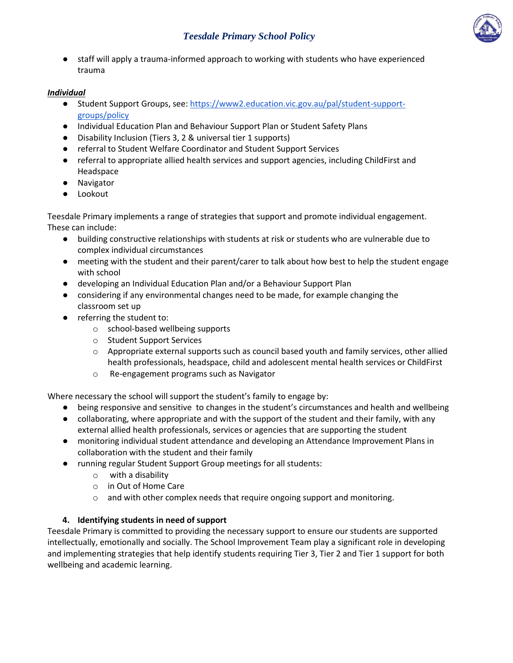

● staff will apply a trauma-informed approach to working with students who have experienced trauma

#### *Individual*

- Student Support Groups, see: [https://www2.education.vic.gov.au/pal/student-support](https://www2.education.vic.gov.au/pal/student-support-groups/policy)[groups/policy](https://www2.education.vic.gov.au/pal/student-support-groups/policy)
- Individual Education Plan and Behaviour Support Plan or Student Safety Plans
- Disability Inclusion (Tiers 3, 2 & universal tier 1 supports)
- referral to Student Welfare Coordinator and Student Support Services
- referral to appropriate allied health services and support agencies, including ChildFirst and Headspace
- Navigator
- Lookout

Teesdale Primary implements a range of strategies that support and promote individual engagement. These can include:

- building constructive relationships with students at risk or students who are vulnerable due to complex individual circumstances
- meeting with the student and their parent/carer to talk about how best to help the student engage with school
- developing an Individual Education Plan and/or a Behaviour Support Plan
- considering if any environmental changes need to be made, for example changing the classroom set up
- referring the student to:
	- o school-based wellbeing supports
	- o Student Support Services
	- $\circ$  Appropriate external supports such as council based youth and family services, other allied health professionals, headspace, child and adolescent mental health services or ChildFirst
	- o Re-engagement programs such as Navigator

Where necessary the school will support the student's family to engage by:

- being responsive and sensitive to changes in the student's circumstances and health and wellbeing
- collaborating, where appropriate and with the support of the student and their family, with any external allied health professionals, services or agencies that are supporting the student
- monitoring individual student attendance and developing an Attendance Improvement Plans in collaboration with the student and their family
- running regular Student Support Group meetings for all students:
	- o with a disability
	- o in Out of Home Care
	- o and with other complex needs that require ongoing support and monitoring.

#### **4. Identifying students in need of support**

Teesdale Primary is committed to providing the necessary support to ensure our students are supported intellectually, emotionally and socially. The School Improvement Team play a significant role in developing and implementing strategies that help identify students requiring Tier 3, Tier 2 and Tier 1 support for both wellbeing and academic learning.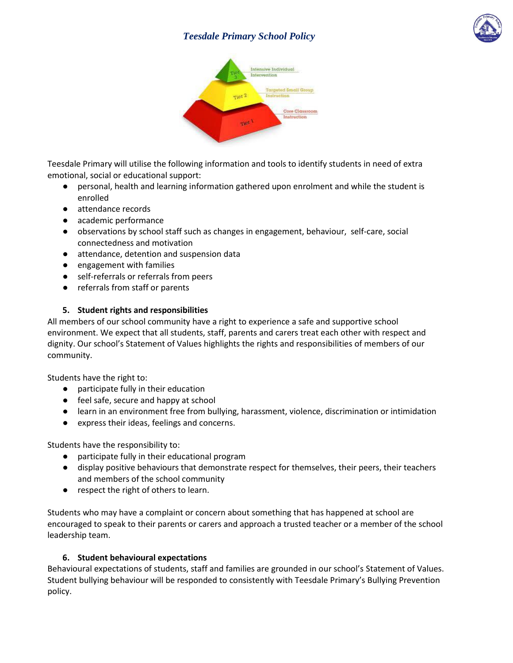



Teesdale Primary will utilise the following information and tools to identify students in need of extra emotional, social or educational support:

- personal, health and learning information gathered upon enrolment and while the student is enrolled
- attendance records
- academic performance
- observations by school staff such as changes in engagement, behaviour, self-care, social connectedness and motivation
- attendance, detention and suspension data
- engagement with families
- self-referrals or referrals from peers
- referrals from staff or parents

#### **5. Student rights and responsibilities**

All members of our school community have a right to experience a safe and supportive school environment. We expect that all students, staff, parents and carers treat each other with respect and dignity. Our school's Statement of Values highlights the rights and responsibilities of members of our community.

Students have the right to:

- participate fully in their education
- feel safe, secure and happy at school
- learn in an environment free from bullying, harassment, violence, discrimination or intimidation
- express their ideas, feelings and concerns.

Students have the responsibility to:

- participate fully in their educational program
- display positive behaviours that demonstrate respect for themselves, their peers, their teachers and members of the school community
- respect the right of others to learn.

Students who may have a complaint or concern about something that has happened at school are encouraged to speak to their parents or carers and approach a trusted teacher or a member of the school leadership team.

#### **6. Student behavioural expectations**

Behavioural expectations of students, staff and families are grounded in our school's Statement of Values. Student bullying behaviour will be responded to consistently with Teesdale Primary's Bullying Prevention policy.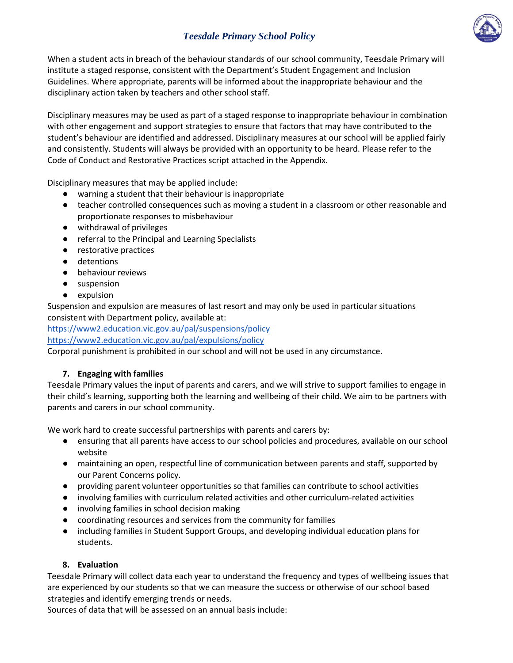

When a student acts in breach of the behaviour standards of our school community, Teesdale Primary will institute a staged response, consistent with the Department's Student Engagement and Inclusion Guidelines. Where appropriate, parents will be informed about the inappropriate behaviour and the disciplinary action taken by teachers and other school staff.

Disciplinary measures may be used as part of a staged response to inappropriate behaviour in combination with other engagement and support strategies to ensure that factors that may have contributed to the student's behaviour are identified and addressed. Disciplinary measures at our school will be applied fairly and consistently. Students will always be provided with an opportunity to be heard. Please refer to the Code of Conduct and Restorative Practices script attached in the Appendix.

Disciplinary measures that may be applied include:

- warning a student that their behaviour is inappropriate
- teacher controlled consequences such as moving a student in a classroom or other reasonable and proportionate responses to misbehaviour
- withdrawal of privileges
- referral to the Principal and Learning Specialists
- restorative practices
- detentions
- behaviour reviews
- suspension
- expulsion

Suspension and expulsion are measures of last resort and may only be used in particular situations consistent with Department policy, available at:

<https://www2.education.vic.gov.au/pal/suspensions/policy>

<https://www2.education.vic.gov.au/pal/expulsions/policy>

Corporal punishment is prohibited in our school and will not be used in any circumstance.

#### **7. Engaging with families**

Teesdale Primary values the input of parents and carers, and we will strive to support families to engage in their child's learning, supporting both the learning and wellbeing of their child. We aim to be partners with parents and carers in our school community.

We work hard to create successful partnerships with parents and carers by:

- ensuring that all parents have access to our school policies and procedures, available on our school website
- maintaining an open, respectful line of communication between parents and staff, supported by our Parent Concerns policy.
- providing parent volunteer opportunities so that families can contribute to school activities
- involving families with curriculum related activities and other curriculum-related activities
- involving families in school decision making
- coordinating resources and services from the community for families
- including families in Student Support Groups, and developing individual education plans for students.

#### **8. Evaluation**

Teesdale Primary will collect data each year to understand the frequency and types of wellbeing issues that are experienced by our students so that we can measure the success or otherwise of our school based strategies and identify emerging trends or needs.

Sources of data that will be assessed on an annual basis include: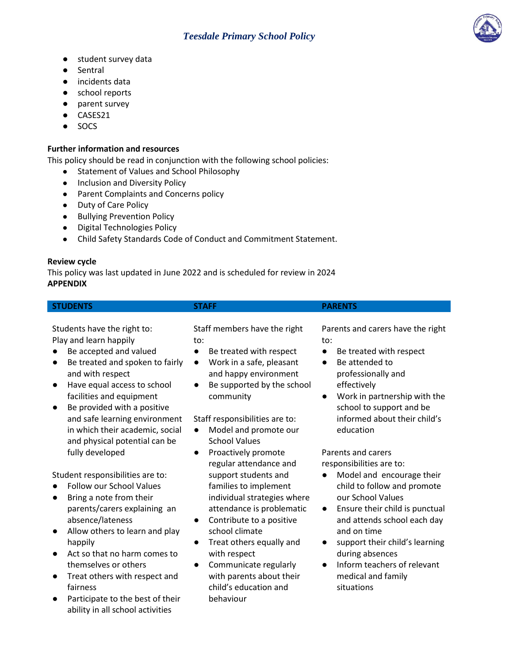- student survey data
- **Sentral**
- incidents data
- school reports
- parent survey
- CASES21
- SOCS

### **Further information and resources**

This policy should be read in conjunction with the following school policies:

- Statement of Values and School Philosophy
- Inclusion and Diversity Policy
- Parent Complaints and Concerns policy
- Duty of Care Policy
- Bullying Prevention Policy
- Digital Technologies Policy
- Child Safety Standards Code of Conduct and Commitment Statement.

#### **Review cycle**

This policy was last updated in June 2022 and is scheduled for review in 2024 **APPENDIX**

| <b>STUDENTS</b>             | <b>STAFF</b>                 | <b>PARENTS</b>                   |  |
|-----------------------------|------------------------------|----------------------------------|--|
|                             |                              |                                  |  |
| Students have the right to: | Staff members have the right | Parents and carers have the righ |  |
| Play and learn happily      | to:                          | to:                              |  |

- Be accepted and valued
- Be treated and spoken to fairly and with respect
- Have equal access to school facilities and equipment
- Be provided with a positive and safe learning environment in which their academic, social and physical potential can be fully developed

Student responsibilities are to:

- Follow our School Values
- Bring a note from their parents/carers explaining an absence/lateness
- Allow others to learn and play happily
- Act so that no harm comes to themselves or others
- Treat others with respect and fairness
- Participate to the best of their ability in all school activities

to:

- Be treated with respect
- Work in a safe, pleasant and happy environment
- Be supported by the school community

## Staff responsibilities are to:

- Model and promote our School Values
- Proactively promote regular attendance and support students and families to implement individual strategies where attendance is problematic
- Contribute to a positive school climate
- Treat others equally and with respect
- Communicate regularly with parents about their child's education and behaviour

Parents and carers have the right to:

- Be treated with respect
- Be attended to professionally and effectively
- Work in partnership with the school to support and be informed about their child's education

Parents and carers responsibilities are to:

- Model and encourage their child to follow and promote our School Values
- Ensure their child is punctual and attends school each day and on time
- support their child's learning during absences
- Inform teachers of relevant medical and family situations

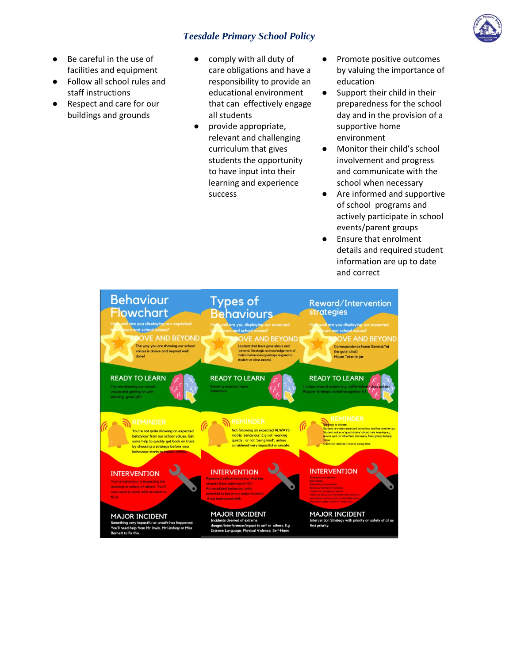

- Be careful in the use of facilities and equipment
- Follow all school rules and staff instructions
- Respect and care for our buildings and grounds
- comply with all duty of care obligations and have a responsibility to provide an educational environment that can effectively engage all students
- provide appropriate, relevant and challenging curriculum that gives students the opportunity to have input into their learning and experience success
- Promote positive outcomes by valuing the importance of education
- Support their child in their preparedness for the school day and in the provision of a supportive home environment
- Monitor their child's school involvement and progress and communicate with the school when necessary
- Are informed and supportive of school programs and actively participate in school events/parent groups
- Ensure that enrolment details and required student information are up to date and correct